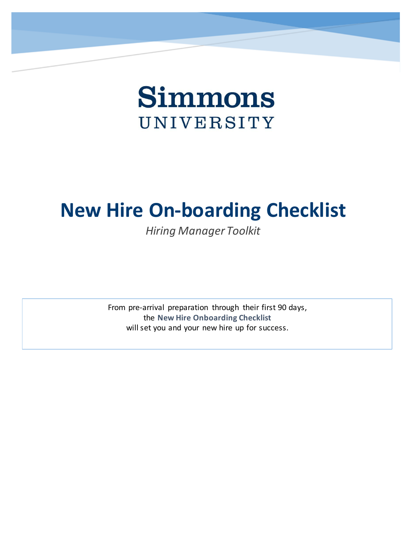

# **New Hire On-boarding Checklist**

*Hiring Manager Toolkit*

From pre-arrival preparation through their first 90 days, the **New Hire Onboarding Checklist** will set you and your new hire up for success.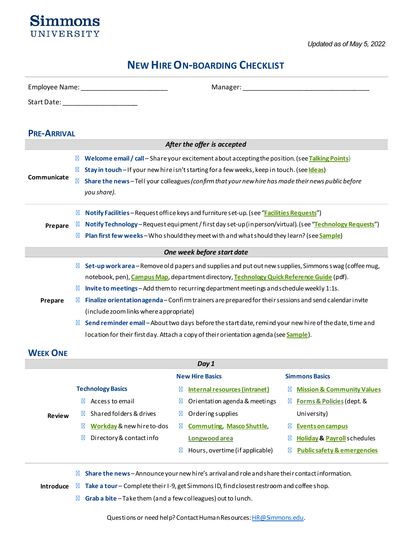

# **NEW HIRE ON-BOARDING CHECKLIST**

|                    | Employee Name: Name: Name and Allen and Allen and Allen and Allen and Allen and Allen and Allen and Allen and Allen and Allen and Allen and Allen and Allen and Allen and Allen and Allen and Allen and Allen and Allen and Al<br>Manager: and the contract of the contract of the contract of the contract of the contract of the contract of the contract of the contract of the contract of the contract of the contract of the contract of the contract of t |
|--------------------|------------------------------------------------------------------------------------------------------------------------------------------------------------------------------------------------------------------------------------------------------------------------------------------------------------------------------------------------------------------------------------------------------------------------------------------------------------------|
|                    | Start Date: _____________________                                                                                                                                                                                                                                                                                                                                                                                                                                |
|                    |                                                                                                                                                                                                                                                                                                                                                                                                                                                                  |
| <b>PRE-ARRIVAL</b> |                                                                                                                                                                                                                                                                                                                                                                                                                                                                  |
|                    | After the offer is accepted                                                                                                                                                                                                                                                                                                                                                                                                                                      |
|                    | Welcome email / call - Share your excitement about accepting the position. (see Talking Points)                                                                                                                                                                                                                                                                                                                                                                  |
|                    | Stay in touch - If your new hire isn't starting for a few weeks, keep in touch. (see Ideas)                                                                                                                                                                                                                                                                                                                                                                      |
| Communicate        | Share the news-Tell your colleagues (confirm that your new hire has made their news public before                                                                                                                                                                                                                                                                                                                                                                |
|                    | you share).                                                                                                                                                                                                                                                                                                                                                                                                                                                      |
|                    | Notify Facilities - Request office keys and furniture set-up. (see "Facilities Requests")                                                                                                                                                                                                                                                                                                                                                                        |
| Prepare            | Notify Technology - Request equipment / first day set-up (in person/virtual). (see "Technology Requests")                                                                                                                                                                                                                                                                                                                                                        |
|                    | Plan first few weeks-Who should they meet with and what should they learn? (see Sample)                                                                                                                                                                                                                                                                                                                                                                          |
|                    | One week before start date                                                                                                                                                                                                                                                                                                                                                                                                                                       |
|                    | Set-up work area - Remove old papers and supplies and put out new supplies, Simmons swag (coffee mug,                                                                                                                                                                                                                                                                                                                                                            |
|                    | notebook, pen), Campus Map, department directory, Technology Quick Reference Guide (pdf).                                                                                                                                                                                                                                                                                                                                                                        |
|                    | Invite to meetings - Add them to recurring department meetings and schedule weekly 1:1s.                                                                                                                                                                                                                                                                                                                                                                         |
| Prepare            | Finalize orientation agenda - Confirm trainers are prepared for their sessions and send calendar invite                                                                                                                                                                                                                                                                                                                                                          |
|                    | (include zoom links where appropriate)                                                                                                                                                                                                                                                                                                                                                                                                                           |
|                    | Send reminder email-About two days before the start date, remind your new hire of the date, time and                                                                                                                                                                                                                                                                                                                                                             |
|                    | location for their first day. Attach a copy of their orientation agenda (see <b>Sample</b> ).                                                                                                                                                                                                                                                                                                                                                                    |
|                    |                                                                                                                                                                                                                                                                                                                                                                                                                                                                  |

# **WEEK ONE**

| Day 1         |                                                 |                                  |                                        |  |  |
|---------------|-------------------------------------------------|----------------------------------|----------------------------------------|--|--|
|               | <b>New Hire Basics</b><br><b>Simmons Basics</b> |                                  |                                        |  |  |
|               | <b>Technology Basics</b>                        | Internal resources (intranet)    | <b>Mission &amp; Community Values</b>  |  |  |
|               | Access to email                                 | Orientation agenda & meetings    | Forms & Policies (dept. &              |  |  |
| <b>Review</b> | Shared folders & drives                         | Ordering supplies                | University)                            |  |  |
|               | Workday & new hire to-dos                       | <b>Commuting, Masco Shuttle,</b> | Events on campus                       |  |  |
|               | Directory & contact info                        | Longwood area                    | <b>Holiday &amp; Payroll</b> schedules |  |  |
|               |                                                 | Hours, overtime (if applicable)  | <b>Public safety &amp; emergencies</b> |  |  |
|               |                                                 |                                  |                                        |  |  |

**Share the news** – Announce your new hire's arrival and role and share their contact information.

**Introduce Take a tour** – Complete their I-9, get Simmons ID, find closest restroom and coffee shop.

**Grab a bite** – Take them (and a few colleagues) out to lunch.

Questions or need help? Contact Human Resources[: HR@Simmons.edu.](mailto:HR@Simmons.edu)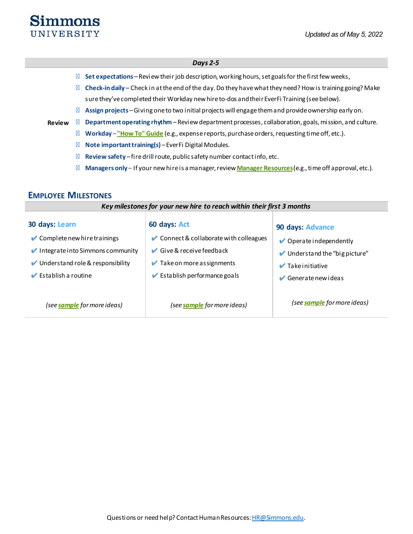# **Simmons** UNIVERSITY

#### *Days 2-5*

**Review Set expectations** – Review their job description, working hours, set goals for the first few weeks, **Check-in daily** – Check in at the end of the day. Do they have what they need? How is training going? Make sure they've completed their Workday new hire to-dos and their EverFi Training (see below). **Assign projects** – Giving one to two initial projects will engage them and provide ownership early on. **Department operating rhythm** – Review department processes, collaboration, goals, mission, and culture. **Workday** –**["How To" Guide](https://workdayproject.simmons.edu/video-library)** (e.g., expense reports, purchase orders, requesting time off, etc.). **Note important training(s)** – EverFi Digital Modules. **Review safety** – fire drill route, public safety number contact info, etc. **Managers only** – If your new hire is a manager, review **[Manager Resources](https://internal.simmons.edu/faculty-staff/hr/employment)**(e.g., time off approval, etc.).

### **EMPLOYEE MILESTONES**

| Key milestones for your new hire to reach within their first 3 months                                                                                                                                                                |                                                                                                                                                                                                                 |                                                                                                                                                           |  |
|--------------------------------------------------------------------------------------------------------------------------------------------------------------------------------------------------------------------------------------|-----------------------------------------------------------------------------------------------------------------------------------------------------------------------------------------------------------------|-----------------------------------------------------------------------------------------------------------------------------------------------------------|--|
| 30 days: Learn<br>$\blacktriangleright$ Complete new hire trainings<br>$\blacktriangleright$ Integrate into Simmons community<br>$\blacktriangleright$ Understand role & responsibility<br>$\blacktriangleright$ Establish a routine | 60 days: Act<br>✔ Connect & collaborate with colleagues<br>$\blacktriangleright$ Give & receive feedback<br>$\blacktriangleright$ Take on more assignments<br>$\blacktriangleright$ Establish performance goals | 90 days: Advance<br>$\triangleright$ Operate independently<br>$\blacktriangleright$ Understand the "big picture"<br>$\blacktriangleright$ Take initiative |  |
| (see <b>sample</b> for more ideas)                                                                                                                                                                                                   | (see <b>sample</b> for more ideas)                                                                                                                                                                              | Generate new ideas<br>(see <b>sample</b> for more ideas)                                                                                                  |  |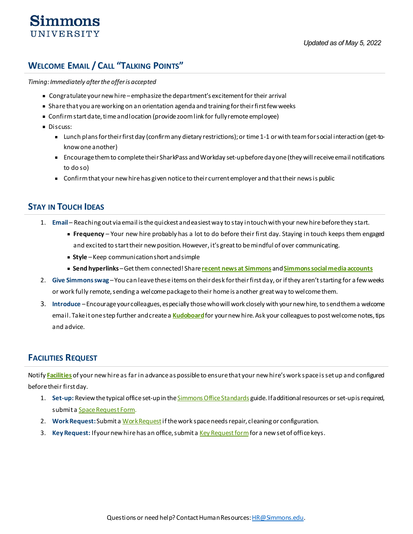# imm∩ns UNIVERSITY

# <span id="page-3-0"></span>**WELCOME EMAIL / CALL "TALKING POINTS"**

*Timing: Immediately after the offer is accepted*

- Congratulate your new hire emphasize the department's excitement for their arrival
- Share that you are working on an orientation agenda and training for their first few weeks
- Confirm start date, time and location (provide zoom link for fully remote employee)
- **Discuss:** 
	- Lunch plans for their first day (confirm any dietary restrictions); or time 1-1 or with team for social interaction (get-toknow one another)
	- Encourage them to complete their SharkPass and Workday set-up before day one (they will receive email notifications to do so)
	- Confirm that your new hire has given notice to their current employer and that their news is public

### <span id="page-3-1"></span>**STAY IN TOUCH IDEAS**

- 1. **Email** Reaching out via email is the quickest and easiest way to stay in touch with your new hire before they start.
	- **Frequency** Your new hire probably has a lot to do before their first day. Staying in touch keeps them engaged and excited to start their new position. However, it's great to be mindful of over communicating.
	- **Example** Keep communication short and simple
	- **Send hyperlinks** Get them connected! Share **[recent news at Simmons](http://www.simmons.edu/news)** and **[Simmons social media accounts](https://www.simmons.edu/social-media-hub)**
- 2. **Give Simmons swag** You can leave these items on their desk for their first day, or if they aren't starting for a few weeks or work fully remote, sending a welcome package to their home is another great way to welcome them.
- 3. **Introduce**  Encourage your colleagues, especially those who will work closely with your new hire, to send them a welcome email. Take it one step further and create a **[Kudoboard](http://www.kudoboard.com/)**for your new hire. Ask your colleagues to post welcome notes, tips and advice.

### <span id="page-3-2"></span>**FACILITIES REQUEST**

Notify **[Facilities](http://internal.simmons.edu/faculty-staff/general/administrative-services/buildings-and-grounds)** of your new hire as far in advance as possible to ensure that your new hire's work space is set up and configured before their first day.

- 1. **Set-up:** Review the typical office set-up in th[e Simmons Office Standards](http://internal.simmons.edu/%7E/media/Simmons/About/Administrative-Services/Documents/Simmons-Office-Standards.ashx?la=en) guide. If additional resources or set-up is required, submit [a Space Request Form](http://internal.simmons.edu/%7E/media/Simmons/About/Administrative-Services/Documents/Space-Planning-Request-Form.ashx?la=en).
- 2. **Work Request:**Submit [a Work Request](http://internal.simmons.edu/faculty-and-staff/general-faculty-and-staff-information/administrative-services/facilities-service-center?_ga=2.248463239.1018782101.1526305422-167765145.1522677306)if the work space needs repair, cleaning or configuration.
- 3. Key Request: If your new hire has an office, submit [a Key Request form](http://internal.simmons.edu/%7E/media/Simmons/About/Administrative-Services/Documents/Key-Request-Form.ashx?la=en) for a new set of office keys.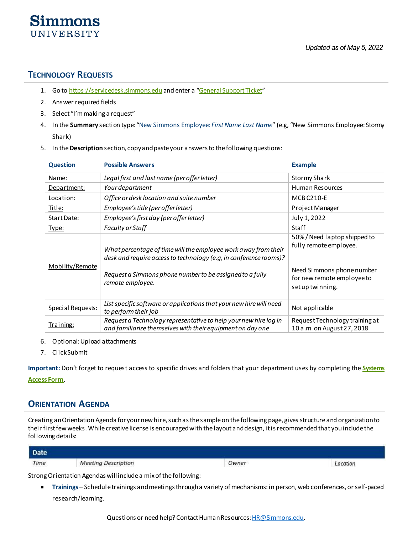### <span id="page-4-0"></span>**TECHNOLOGY REQUESTS**

**Simmons** UNIVERSITY

- 1. Go to [https://servicedesk.simmons.edu](https://servicedesk.simmons.edu/) and enter a ["General Support Ticket"](http://servicedesk.simmons.edu/getsupport/general)
- 2. Answer required fields
- 3. Select "I'm making a request"
- 4. In the **Summary** section type: "New Simmons Employee: *First Name Last Name*" (e.g, "New Simmons Employee: Stormy Shark)
- 5. In the **Description** section, copy and paste your answers to the following questions:

| <b>Question</b>   | <b>Possible Answers</b>                                                                                                                                                                                             | <b>Example</b>                                                                                                                      |
|-------------------|---------------------------------------------------------------------------------------------------------------------------------------------------------------------------------------------------------------------|-------------------------------------------------------------------------------------------------------------------------------------|
| Name:             | Legal first and last name (per offer letter)                                                                                                                                                                        | <b>Stormy Shark</b>                                                                                                                 |
| Department:       | Your department                                                                                                                                                                                                     | Human Resources                                                                                                                     |
| Location:         | Office or desk location and suite number                                                                                                                                                                            | <b>MCB C210-E</b>                                                                                                                   |
| <u>Title:</u>     | Employee's title (per offer letter)                                                                                                                                                                                 | Project Manager                                                                                                                     |
| Start Date:       | Employee's first day (per offer letter)                                                                                                                                                                             | July 1, 2022                                                                                                                        |
| <u>Type:</u>      | <b>Faculty or Staff</b>                                                                                                                                                                                             | <b>Staff</b>                                                                                                                        |
| Mobility/Remote   | What percentage of time will the employee work away from their<br>desk and require access to technology (e.g, in conference rooms)?<br>Request a Simmons phone number to be assigned to a fully<br>remote employee. | 50%/Need laptop shipped to<br>fully remote employee.<br>Need Simmons phone number<br>for new remote employee to<br>set up twinning. |
| Special Requests: | List specific software or applications that your new hire will need<br>to perform their job                                                                                                                         | Not applicable                                                                                                                      |
| Training:         | Request a Technology representative to help your new hire log in<br>and familiarize themselves with their equipment on day one                                                                                      | Request Technology training at<br>10 a.m. on August 27, 2018                                                                        |

- 6. Optional: Upload attachments
- 7. Click Submit

**Important:** Don't forget to request access to specific drives and folders that your department uses by completing the **[Systems](http://servicedesk.simmons.edu/articles/index.php?action=showEntry&data=2025)  [Access Form](http://servicedesk.simmons.edu/articles/index.php?action=showEntry&data=2025)**.

### <span id="page-4-1"></span>**ORIENTATION AGENDA**

Creating an Orientation Agenda for your new hire, such as the sample on the following page, gives structure and organization to their first few weeks. While creative license is encouraged with the layout and design, it is recommended that you include the following details:

| Date                                                           |                            |       |                                                              |  |
|----------------------------------------------------------------|----------------------------|-------|--------------------------------------------------------------|--|
| Time                                                           | <b>Meeting Description</b> | Owner | Location<br>the control of the control of the control of the |  |
| Strong Orientation Agendas willinclude a mix of the following: |                            |       |                                                              |  |

▪ **Trainings** – Schedule trainings and meetings through a variety of mechanisms: in person, web conferences, or self-paced research/learning.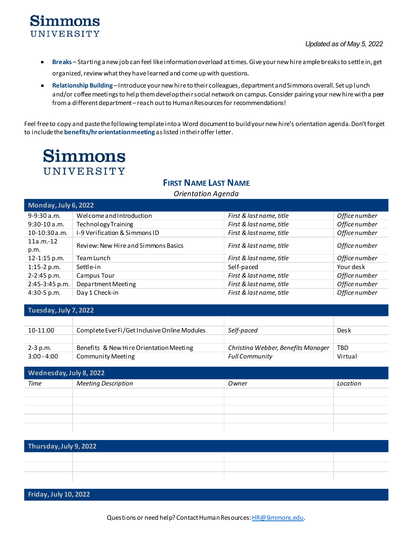# **Simmons** UNIVERSITY

- **Breaks** Starting a new job can feel like information overload at times. Give your new hire ample breaks to settle in, get organized, review what they have learned and come up with questions.
- **Relationship Building** Introduce your new hire to their colleagues, department and Simmons overall. Set up lunch and/or coffee meetings to help them develop their social network on campus. Consider pairing your new hire with a peer from a different department – reach out to Human Resources for recommendations!

Feel free to copy and paste the following template into a Word document to build your new hire's orientation agenda. Don't forget to include the **benefits/hr orientation meeting** as listed in their offer letter.

# **Simmons** UNIVERSITY

# **FIRST NAME LAST NAME**

#### *Orientation Agenda*

| Monday, July 6, 2022 |                                     |                          |               |
|----------------------|-------------------------------------|--------------------------|---------------|
| $9-9:30a.m.$         | Welcome and Introduction            | First & last name, title | Office number |
| $9:30-10a.m.$        | <b>Technology Training</b>          | First & last name, title | Office number |
| 10-10:30 a.m.        | I-9 Verification & Simmons ID       | First & last name, title | Office number |
| $11a.m. -12$<br>p.m. | Review: New Hire and Simmons Basics | First & last name, title | Office number |
| 12-1:15 p.m.         | Team Lunch                          | First & last name, title | Office number |
| $1:15-2 p.m.$        | Settle-in                           | Self-paced               | Your desk     |
| 2-2:45 p.m.          | Campus Tour                         | First & last name, title | Office number |
| 2:45-3:45 p.m.       | Department Meeting                  | First & last name, title | Office number |
| $4:30-5 p.m.$        | Day 1 Check-in                      | First & last name, title | Office number |

**Tuesday, July 7, 2022**

| 10-11:00      | Complete EverFi/Get Inclusive Online Modules | Self-paced                         | Desk    |
|---------------|----------------------------------------------|------------------------------------|---------|
|               |                                              |                                    |         |
| 2-3 p.m.      | Benefits & New Hire Orientation Meeting      | Christina Webber, Benefits Manager | TBD     |
| $3:00 - 4:00$ | Community Meeting                            | Full Community                     | Virtual |

| Wednesday, July 8, 2022 |                            |       |          |
|-------------------------|----------------------------|-------|----------|
| <b>Time</b>             | <b>Meeting Description</b> | Owner | Location |
|                         |                            |       |          |
|                         |                            |       |          |
|                         |                            |       |          |
|                         |                            |       |          |
|                         |                            |       |          |

| Thursday, July 9, 2022 |  |  |  |
|------------------------|--|--|--|
|                        |  |  |  |
|                        |  |  |  |
|                        |  |  |  |

**Friday, July 10, 2022**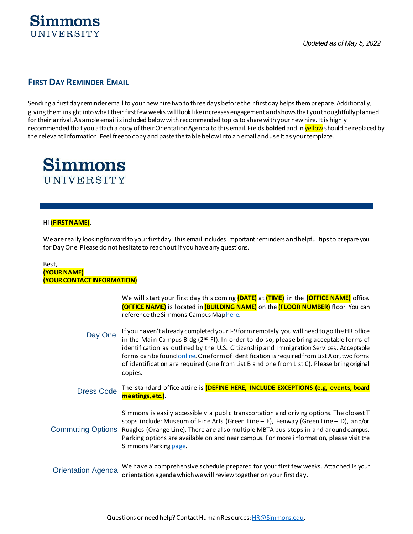

### **FIRST DAY REMINDER EMAIL**

Sending a first day reminder email to your new hire two to three days before their first day helps them prepare. Additionally, giving them insight into what their first few weeks will look like increases engagement and shows that you thoughtfully planned for their arrival. A sample email is included below with recommended topics to share with your new hire. It is highly recommended that you attach a copy of their Orientation Agenda to this email. Fields **bolded** and in yellowshould be replaced by the relevant information. Feel free to copy and paste the table below into an email and use it as your template.



#### Hi **(FIRST NAME)**,

We are really looking forward to your first day. This email includes important reminders and helpful tips to prepare you for Day One. Please do not hesitate to reach out if you have any questions.

#### Best, **(YOUR NAME) (YOUR CONTACT INFORMATION)**

We will start your first day this coming **(DATE)** at **(TIME)** in the **(OFFICE NAME)** office. **(OFFICE NAME)** is located in **(BUILDING NAME)** on the **(FLOOR NUMBER)** floor. You can reference the Simmons Campus Maphere.

- Day One If you haven't already completed your I-9 form remotely, you will need to go the HR office in the Main Campus Bldg  $(2^{nd}$  Fl). In order to do so, please bring acceptable forms of identification as outlined by the U.S. Citizenship and Immigration Services. Acceptable forms can be foun[d online.](https://www.uscis.gov/i-9-central/acceptable-documents/list-documents/form-i-9-acceptable-documents) One form of identification is required from List A or, two forms of identification are required (one from List B and one from List C). Please bring original copies.
- Dress Code The standard office attire is **(DEFINE HERE, INCLUDE EXCEPTIONS (e.g, events, board meetings, etc.)**.

Commuting Options Ruggles (Orange Line). There are also multiple MBTA bus stops in and around campus. Simmons is easily accessible via public transportation and driving options. The closest T stops include: Museum of Fine Arts (Green Line – E), Fenway (Green Line – D), and/or Parking options are available on and near campus. For more information, please visit the Simmons Parkin[g page](http://www.simmons.edu/about-simmons/contact-us/directions/parking/commuting-alternatives).

#### Orientation Agenda We have a comprehensive schedule prepared for your first few weeks. Attached is your orientation agenda which we will review together on your first day.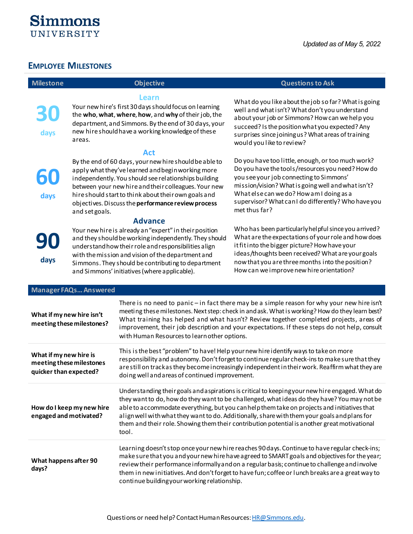

## <span id="page-7-0"></span>**EMPLOYEE MILESTONES**

|  |  | <b>Milestone</b> |  |
|--|--|------------------|--|
|  |  |                  |  |

**30**

**days**

**60**

**days**

#### **Milestone Objective Questions to Ask**

#### **Learn**

Your new hire's first 30 days should focus on learning the **who**, **what**, **where**, **how**, and **why** of their job, the department, and Simmons. By the end of 30 days, your new hire should have a working knowledge of these areas.

#### **Act**

By the end of 60 days, your new hire should be able to apply what they've learned and begin working more independently. You should see relationships building between your new hire and their colleagues. Your new hire should start to think about their own goals and objectives. Discuss the **performance review process** and set goals.

#### **Advance**

**90 days**

Your new hire is already an "expert" in their position and they should be working independently. They should understand how their role and responsibilities align with the mission and vision of the department and Simmons. They should be contributing to department and Simmons' initiatives (where applicable).

What do you like about the job so far? What is going well and what isn't? What don't you understand about your job or Simmons? How can we help you succeed? Is the position what you expected? Any surprises since joining us? What areas of training

would you like to review?

Do you have too little, enough, or too much work? Do you have the tools/resources you need? How do you see your job connecting to Simmons' mission/vision? What is going well and what isn't? What else can we do? How am I doing as a supervisor? What can I do differently? Who have you met thus far?

Who has been particularly helpful since you arrived? What are the expectations of your role and how does it fit into the bigger picture? How have your ideas/thoughts been received? What are your goals now that you are three months into the position? How can we improve new hire orientation?

| <b>Manager FAQs Answered</b>                                                 |                                                                                                                                                                                                                                                                                                                                                                                                                                                                                                        |
|------------------------------------------------------------------------------|--------------------------------------------------------------------------------------------------------------------------------------------------------------------------------------------------------------------------------------------------------------------------------------------------------------------------------------------------------------------------------------------------------------------------------------------------------------------------------------------------------|
| What if my new hire isn't<br>meeting these milestones?                       | There is no need to panic - in fact there may be a simple reason for why your new hire isn't<br>meeting these milestones. Next step: check in and ask. What is working? How do they learn best?<br>What training has helped and what hasn't? Review together completed projects, areas of<br>improvement, their job description and your expectations. If these steps do not help, consult<br>with Human Resources to learn other options.                                                             |
| What if my new hire is<br>meeting these milestones<br>quicker than expected? | This is the best "problem" to have! Help your new hire identify ways to take on more<br>responsibility and autonomy. Don't forget to continue regular check-ins to make sure that they<br>are still on track as they become increasingly independent in their work. Reaffirm what they are<br>doing well and areas of continued improvement.                                                                                                                                                           |
| How do I keep my new hire<br>engaged and motivated?                          | Understanding their goals and aspirations is critical to keeping your new hire engaged. What do<br>they want to do, how do they want to be challenged, what ideas do they have? You may not be<br>able to accommodate everything, but you can help them take on projects and initiatives that<br>align well with what they want to do. Additionally, share with them your goals and plans for<br>them and their role. Showing them their contribution potential is another great motivational<br>tool. |
| What happens after 90<br>days?                                               | Learning doesn't stop once your new hire reaches 90 days. Continue to have regular check-ins;<br>make sure that you and your new hire have agreed to SMART goals and objectives for the year;<br>review their performance informally and on a regular basis; continue to challenge and involve<br>them in new initiatives. And don't forget to have fun; coffee or lunch breaks are a great way to<br>continue building your working relationship.                                                     |